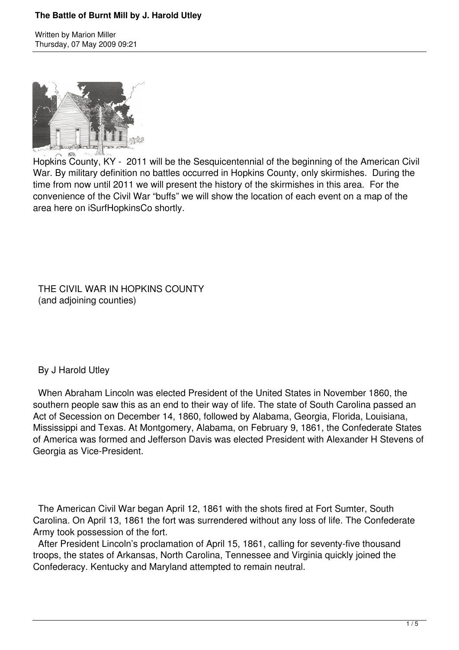### **The Battle of Burnt Mill by J. Harold Utley**

Written by Marion Miller Thursday, 07 May 2009 09:21



Hopkins County, KY - 2011 will be the Sesquicentennial of the beginning of the American Civil War. By military definition no battles occurred in Hopkins County, only skirmishes. During the time from now until 2011 we will present the history of the skirmishes in this area. For the convenience of the Civil War "buffs" we will show the location of each event on a map of the area here on iSurfHopkinsCo shortly.

 THE CIVIL WAR IN HOPKINS COUNTY (and adjoining counties)

#### By J Harold Utley

 When Abraham Lincoln was elected President of the United States in November 1860, the southern people saw this as an end to their way of life. The state of South Carolina passed an Act of Secession on December 14, 1860, followed by Alabama, Georgia, Florida, Louisiana, Mississippi and Texas. At Montgomery, Alabama, on February 9, 1861, the Confederate States of America was formed and Jefferson Davis was elected President with Alexander H Stevens of Georgia as Vice-President.

 The American Civil War began April 12, 1861 with the shots fired at Fort Sumter, South Carolina. On April 13, 1861 the fort was surrendered without any loss of life. The Confederate Army took possession of the fort.

 After President Lincoln's proclamation of April 15, 1861, calling for seventy-five thousand troops, the states of Arkansas, North Carolina, Tennessee and Virginia quickly joined the Confederacy. Kentucky and Maryland attempted to remain neutral.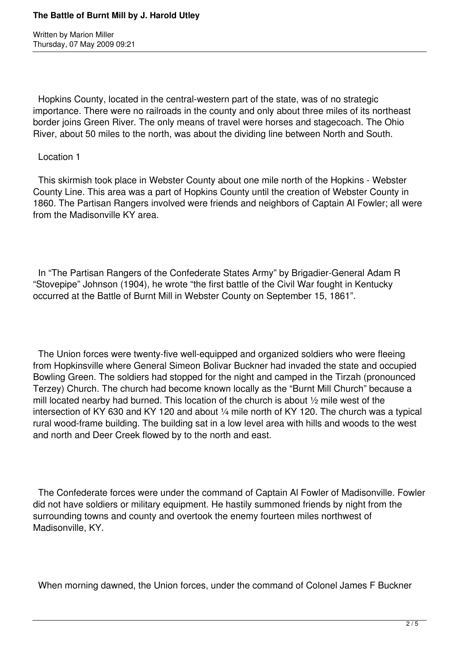Written by Marion Miller Thursday, 07 May 2009 09:21

 Hopkins County, located in the central-western part of the state, was of no strategic importance. There were no railroads in the county and only about three miles of its northeast border joins Green River. The only means of travel were horses and stagecoach. The Ohio River, about 50 miles to the north, was about the dividing line between North and South.

#### Location 1

 This skirmish took place in Webster County about one mile north of the Hopkins - Webster County Line. This area was a part of Hopkins County until the creation of Webster County in 1860. The Partisan Rangers involved were friends and neighbors of Captain Al Fowler; all were from the Madisonville KY area.

 In "The Partisan Rangers of the Confederate States Army" by Brigadier-General Adam R "Stovepipe" Johnson (1904), he wrote "the first battle of the Civil War fought in Kentucky occurred at the Battle of Burnt Mill in Webster County on September 15, 1861".

 The Union forces were twenty-five well-equipped and organized soldiers who were fleeing from Hopkinsville where General Simeon Bolivar Buckner had invaded the state and occupied Bowling Green. The soldiers had stopped for the night and camped in the Tirzah (pronounced Terzey) Church. The church had become known locally as the "Burnt Mill Church" because a mill located nearby had burned. This location of the church is about ½ mile west of the intersection of KY 630 and KY 120 and about ¼ mile north of KY 120. The church was a typical rural wood-frame building. The building sat in a low level area with hills and woods to the west and north and Deer Creek flowed by to the north and east.

 The Confederate forces were under the command of Captain Al Fowler of Madisonville. Fowler did not have soldiers or military equipment. He hastily summoned friends by night from the surrounding towns and county and overtook the enemy fourteen miles northwest of Madisonville, KY.

When morning dawned, the Union forces, under the command of Colonel James F Buckner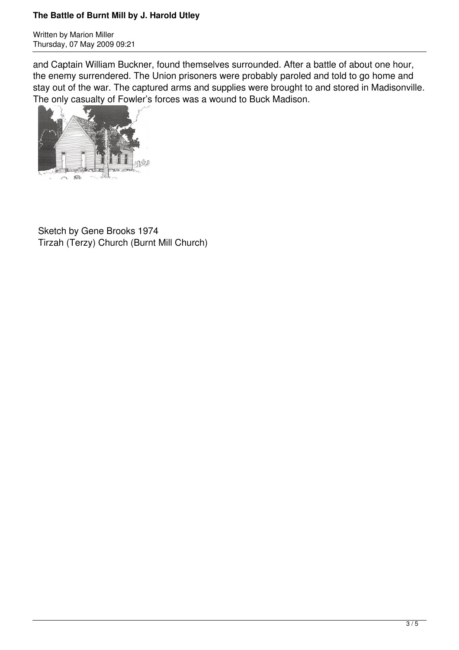## **The Battle of Burnt Mill by J. Harold Utley**

Written by Marion Miller Thursday, 07 May 2009 09:21

and Captain William Buckner, found themselves surrounded. After a battle of about one hour, the enemy surrendered. The Union prisoners were probably paroled and told to go home and stay out of the war. The captured arms and supplies were brought to and stored in Madisonville. The only casualty of Fowler's forces was a wound to Buck Madison.



 Sketch by Gene Brooks 1974 Tirzah (Terzy) Church (Burnt Mill Church)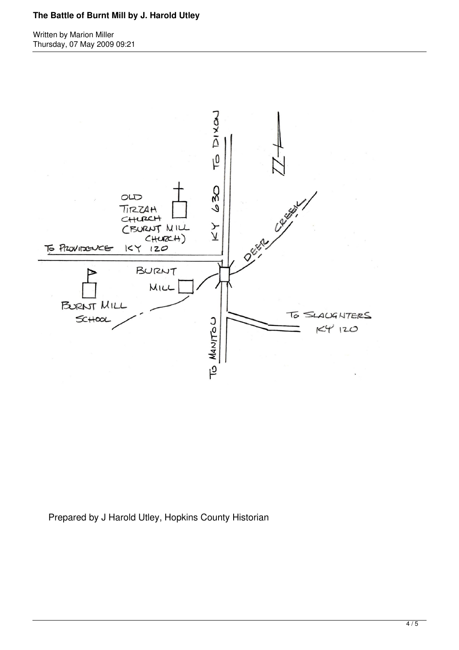# **The Battle of Burnt Mill by J. Harold Utley**

Written by Marion Miller Thursday, 07 May 2009 09:21



Prepared by J Harold Utley, Hopkins County Historian